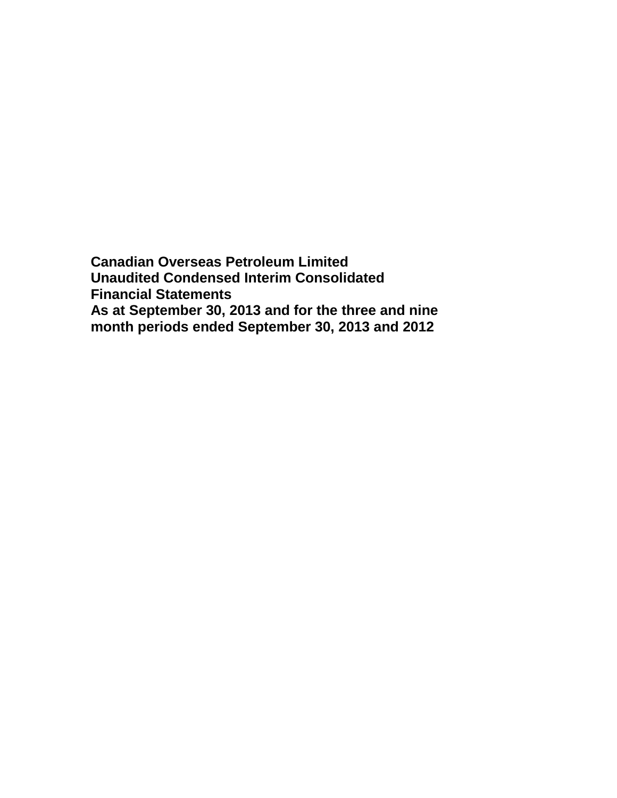**Canadian Overseas Petroleum Limited Unaudited Condensed Interim Consolidated Financial Statements As at September 30, 2013 and for the three and nine month periods ended September 30, 2013 and 2012**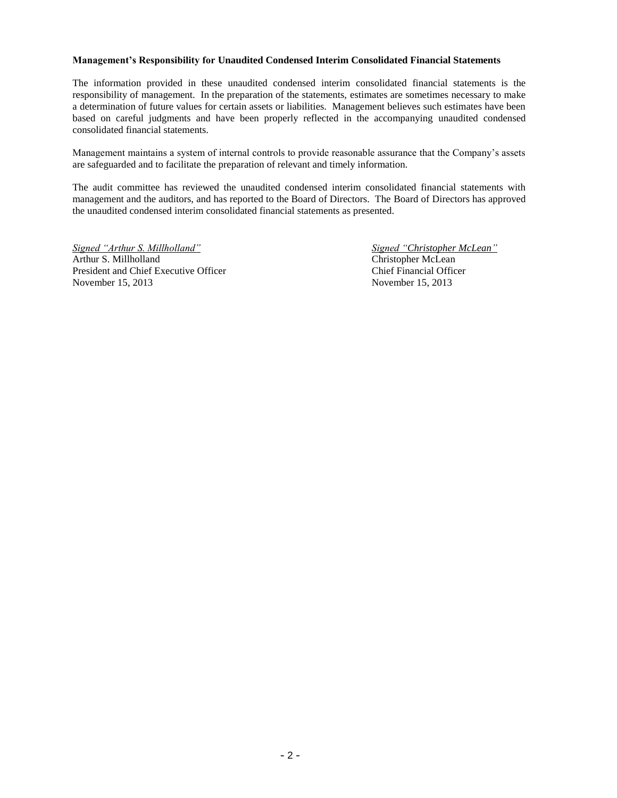### **Management's Responsibility for Unaudited Condensed Interim Consolidated Financial Statements**

The information provided in these unaudited condensed interim consolidated financial statements is the responsibility of management. In the preparation of the statements, estimates are sometimes necessary to make a determination of future values for certain assets or liabilities. Management believes such estimates have been based on careful judgments and have been properly reflected in the accompanying unaudited condensed consolidated financial statements.

Management maintains a system of internal controls to provide reasonable assurance that the Company's assets are safeguarded and to facilitate the preparation of relevant and timely information.

The audit committee has reviewed the unaudited condensed interim consolidated financial statements with management and the auditors, and has reported to the Board of Directors. The Board of Directors has approved the unaudited condensed interim consolidated financial statements as presented.

*Signed "Arthur S. Millholland" Signed "Christopher McLean"* Arthur S. Millholland Christopher McLean President and Chief Executive Officer Chief Financial Officer November 15, 2013 November 15, 2013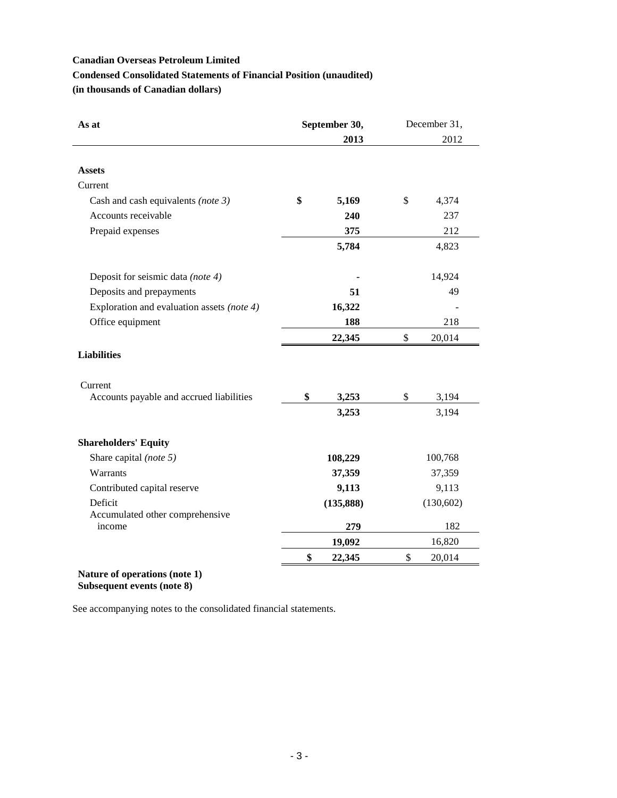## **Condensed Consolidated Statements of Financial Position (unaudited)**

**(in thousands of Canadian dollars)**

| As at                                      | September 30, |            | December 31, |
|--------------------------------------------|---------------|------------|--------------|
|                                            |               | 2013       | 2012         |
| <b>Assets</b>                              |               |            |              |
| Current                                    |               |            |              |
|                                            | \$            | 5,169      | \$<br>4,374  |
| Cash and cash equivalents (note 3)         |               |            |              |
| Accounts receivable                        |               | 240        | 237          |
| Prepaid expenses                           |               | 375        | 212          |
|                                            |               | 5,784      | 4,823        |
| Deposit for seismic data (note 4)          |               |            | 14,924       |
| Deposits and prepayments                   |               | 51         | 49           |
| Exploration and evaluation assets (note 4) |               | 16,322     |              |
| Office equipment                           | 188           |            | 218          |
|                                            |               | 22,345     | \$<br>20,014 |
| <b>Liabilities</b>                         |               |            |              |
| Current                                    |               |            |              |
| Accounts payable and accrued liabilities   | \$            | 3,253      | \$<br>3,194  |
|                                            |               | 3,253      | 3,194        |
| <b>Shareholders' Equity</b>                |               |            |              |
| Share capital (note 5)                     |               | 108,229    | 100,768      |
| Warrants                                   |               | 37,359     | 37,359       |
| Contributed capital reserve                |               | 9,113      | 9,113        |
| Deficit                                    |               | (135, 888) | (130, 602)   |
| Accumulated other comprehensive            |               |            |              |
| income                                     |               | 279        | 182          |
|                                            |               | 19,092     | 16,820       |
|                                            | \$            | 22,345     | \$<br>20,014 |

**Subsequent events (note 8)**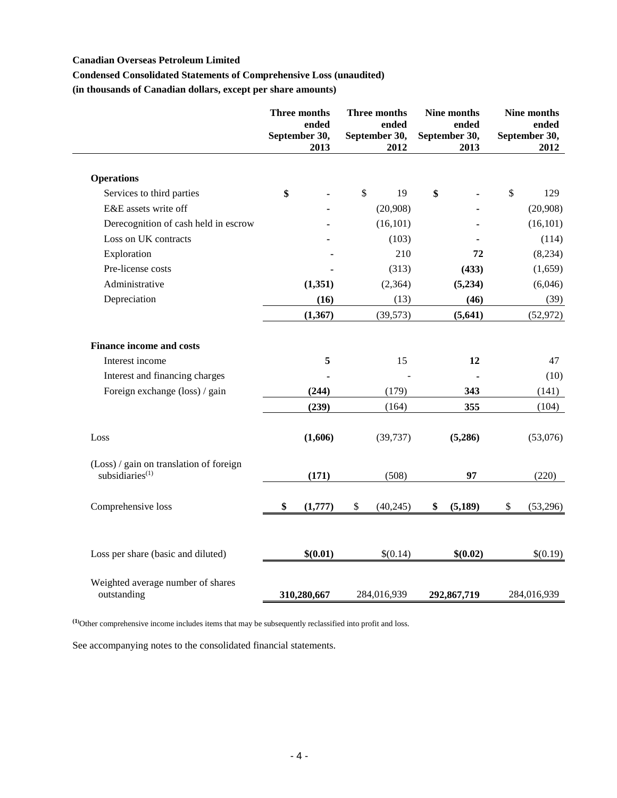# **Condensed Consolidated Statements of Comprehensive Loss (unaudited)**

**(in thousands of Canadian dollars, except per share amounts)**

|                                                                        | <b>Three months</b><br>ended<br>September 30,<br>2013 |                           | Three months<br>ended<br>September 30,<br>2012 | Nine months<br>ended<br>September 30,<br>2013 | Nine months<br>ended<br>September 30,<br>2012 |
|------------------------------------------------------------------------|-------------------------------------------------------|---------------------------|------------------------------------------------|-----------------------------------------------|-----------------------------------------------|
| <b>Operations</b>                                                      |                                                       |                           |                                                |                                               |                                               |
| Services to third parties                                              | \$                                                    | $\boldsymbol{\mathsf{S}}$ | 19                                             | \$                                            | \$<br>129                                     |
| E&E assets write off                                                   |                                                       |                           | (20,908)                                       |                                               | (20,908)                                      |
| Derecognition of cash held in escrow                                   |                                                       |                           | (16, 101)                                      |                                               | (16, 101)                                     |
| Loss on UK contracts                                                   |                                                       |                           | (103)                                          |                                               | (114)                                         |
| Exploration                                                            |                                                       |                           | 210                                            | 72                                            | (8,234)                                       |
| Pre-license costs                                                      |                                                       |                           | (313)                                          | (433)                                         | (1,659)                                       |
| Administrative                                                         | (1, 351)                                              |                           | (2,364)                                        | (5,234)                                       | (6,046)                                       |
| Depreciation                                                           | (16)                                                  |                           | (13)                                           | (46)                                          | (39)                                          |
|                                                                        | (1, 367)                                              |                           | (39, 573)                                      | (5, 641)                                      | (52, 972)                                     |
| <b>Finance income and costs</b>                                        |                                                       |                           |                                                |                                               |                                               |
| Interest income                                                        | 5                                                     |                           | 15                                             | 12                                            | 47                                            |
| Interest and financing charges                                         |                                                       |                           |                                                |                                               | (10)                                          |
| Foreign exchange (loss) / gain                                         | (244)                                                 |                           | (179)                                          | 343                                           | (141)                                         |
|                                                                        | (239)                                                 |                           | (164)                                          | 355                                           | (104)                                         |
| Loss                                                                   | (1,606)                                               |                           | (39, 737)                                      | (5,286)                                       | (53,076)                                      |
| (Loss) / gain on translation of foreign<br>subsidiaries <sup>(1)</sup> | (171)                                                 |                           | (508)                                          | 97                                            | (220)                                         |
| Comprehensive loss                                                     | \$<br>(1,777)                                         | \$                        | (40, 245)                                      | \$<br>(5, 189)                                | \$<br>(53,296)                                |
| Loss per share (basic and diluted)                                     | \$(0.01)                                              |                           | \$(0.14)                                       | \$(0.02)                                      | \$(0.19)                                      |
| Weighted average number of shares<br>outstanding                       | 310,280,667                                           |                           | 284,016,939                                    | 292,867,719                                   | 284,016,939                                   |

**(1)**Other comprehensive income includes items that may be subsequently reclassified into profit and loss.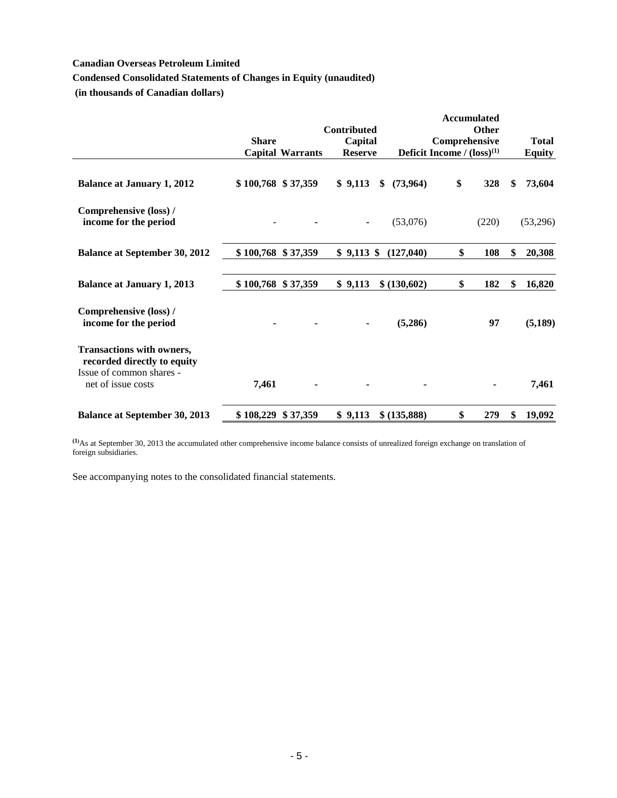# **Condensed Consolidated Statements of Changes in Equity (unaudited)**

**(in thousands of Canadian dollars)**

|                                                                 | <b>Share</b>       | <b>Capital Warrants</b> | <b>Contributed</b><br>Capital<br><b>Reserve</b> |                 | Comprehensive<br>Deficit Income / $(logs)^{(1)}$ | <b>Accumulated</b><br>Other | <b>Total</b><br><b>Equity</b> |
|-----------------------------------------------------------------|--------------------|-------------------------|-------------------------------------------------|-----------------|--------------------------------------------------|-----------------------------|-------------------------------|
|                                                                 |                    |                         |                                                 |                 |                                                  |                             |                               |
| <b>Balance at January 1, 2012</b>                               |                    | \$100,768 \$37,359      | \$9,113                                         | (73, 964)<br>\$ | \$                                               | 328                         | \$<br>73,604                  |
| Comprehensive (loss) /<br>income for the period                 |                    |                         | $\blacksquare$                                  | (53,076)        |                                                  | (220)                       | (53,296)                      |
| <b>Balance at September 30, 2012</b>                            | \$100,768 \$37,359 |                         | $$9,113$ \$                                     | (127,040)       | \$                                               | 108                         | \$<br>20,308                  |
| <b>Balance at January 1, 2013</b>                               |                    | \$100,768 \$37,359      | \$9,113                                         | \$ (130,602)    | \$                                               | 182                         | \$<br>16,820                  |
| Comprehensive (loss) /<br>income for the period                 |                    |                         |                                                 | (5,286)         |                                                  | 97                          | (5,189)                       |
| <b>Transactions with owners,</b><br>recorded directly to equity |                    |                         |                                                 |                 |                                                  |                             |                               |
| Issue of common shares -<br>net of issue costs                  | 7,461              |                         |                                                 |                 |                                                  |                             | 7,461                         |
| <b>Balance at September 30, 2013</b>                            | \$108,229          | \$37,359                | \$9,113                                         | \$ (135,888)    | \$                                               | 279                         | \$<br>19,092                  |

**(1)**As at September 30, 2013 the accumulated other comprehensive income balance consists of unrealized foreign exchange on translation of foreign subsidiaries.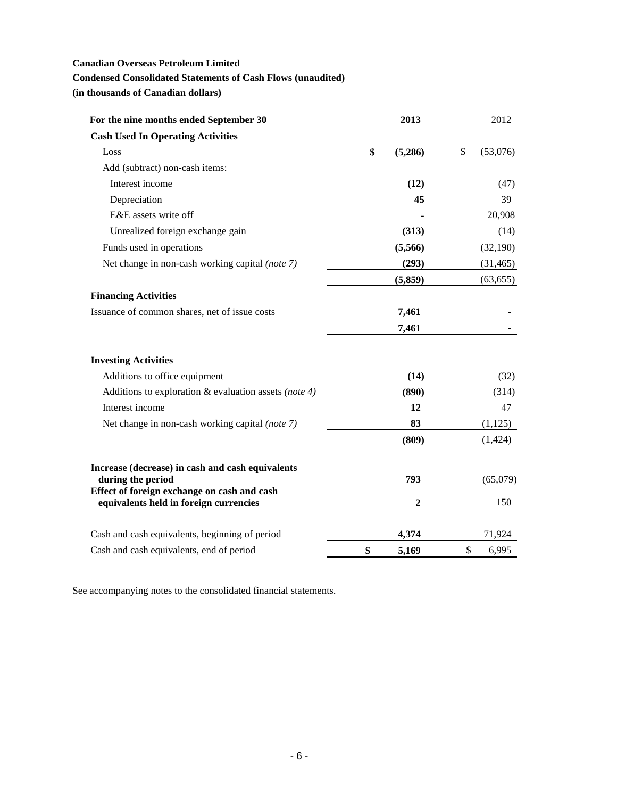## **Condensed Consolidated Statements of Cash Flows (unaudited)**

**(in thousands of Canadian dollars)**

| For the nine months ended September 30                                                | 2013             | 2012           |
|---------------------------------------------------------------------------------------|------------------|----------------|
| <b>Cash Used In Operating Activities</b>                                              |                  |                |
| Loss                                                                                  | \$<br>(5,286)    | \$<br>(53,076) |
| Add (subtract) non-cash items:                                                        |                  |                |
| Interest income                                                                       | (12)             | (47)           |
| Depreciation                                                                          | 45               | 39             |
| E&E assets write off                                                                  |                  | 20,908         |
| Unrealized foreign exchange gain                                                      | (313)            | (14)           |
| Funds used in operations                                                              | (5,566)          | (32,190)       |
| Net change in non-cash working capital (note 7)                                       | (293)            | (31, 465)      |
|                                                                                       | (5,859)          | (63, 655)      |
| <b>Financing Activities</b>                                                           |                  |                |
| Issuance of common shares, net of issue costs                                         | 7,461            |                |
|                                                                                       | 7,461            |                |
| <b>Investing Activities</b>                                                           |                  |                |
| Additions to office equipment                                                         | (14)             | (32)           |
| Additions to exploration $&$ evaluation assets (note 4)                               | (890)            | (314)          |
| Interest income                                                                       | 12               | 47             |
| Net change in non-cash working capital (note 7)                                       | 83               | (1, 125)       |
|                                                                                       | (809)            | (1, 424)       |
| Increase (decrease) in cash and cash equivalents<br>during the period                 | 793              | (65,079)       |
| Effect of foreign exchange on cash and cash<br>equivalents held in foreign currencies | $\boldsymbol{2}$ | 150            |
| Cash and cash equivalents, beginning of period                                        | 4,374            | 71,924         |
| Cash and cash equivalents, end of period                                              | \$<br>5,169      | \$<br>6,995    |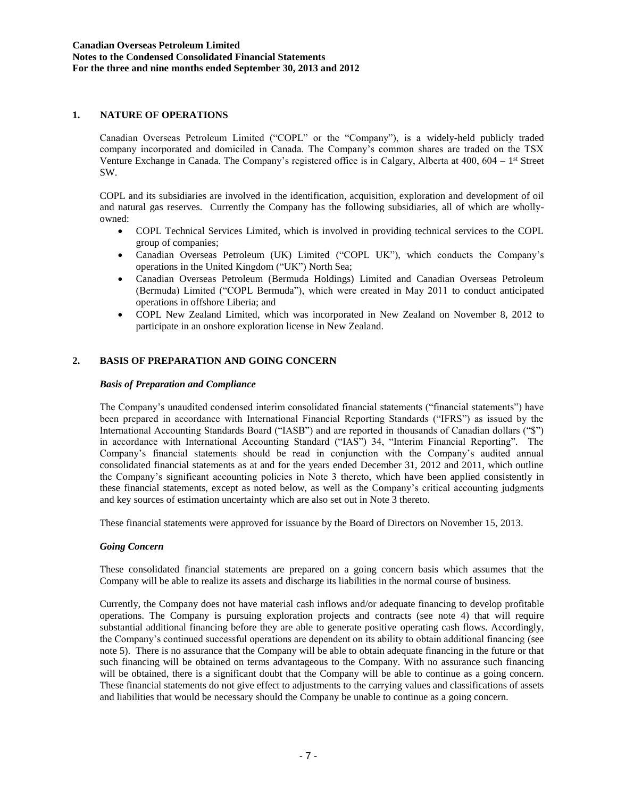## **1. NATURE OF OPERATIONS**

Canadian Overseas Petroleum Limited ("COPL" or the "Company"), is a widely-held publicly traded company incorporated and domiciled in Canada. The Company's common shares are traded on the TSX Venture Exchange in Canada. The Company's registered office is in Calgary, Alberta at 400, 604 – 1<sup>st</sup> Street SW.

COPL and its subsidiaries are involved in the identification, acquisition, exploration and development of oil and natural gas reserves. Currently the Company has the following subsidiaries, all of which are whollyowned:

- COPL Technical Services Limited, which is involved in providing technical services to the COPL group of companies;
- Canadian Overseas Petroleum (UK) Limited ("COPL UK"), which conducts the Company's operations in the United Kingdom ("UK") North Sea;
- Canadian Overseas Petroleum (Bermuda Holdings) Limited and Canadian Overseas Petroleum (Bermuda) Limited ("COPL Bermuda"), which were created in May 2011 to conduct anticipated operations in offshore Liberia; and
- COPL New Zealand Limited, which was incorporated in New Zealand on November 8, 2012 to participate in an onshore exploration license in New Zealand.

# **2. BASIS OF PREPARATION AND GOING CONCERN**

## *Basis of Preparation and Compliance*

The Company's unaudited condensed interim consolidated financial statements ("financial statements") have been prepared in accordance with International Financial Reporting Standards ("IFRS") as issued by the International Accounting Standards Board ("IASB") and are reported in thousands of Canadian dollars ("\$") in accordance with International Accounting Standard ("IAS") 34, "Interim Financial Reporting". The Company's financial statements should be read in conjunction with the Company's audited annual consolidated financial statements as at and for the years ended December 31, 2012 and 2011, which outline the Company's significant accounting policies in Note 3 thereto, which have been applied consistently in these financial statements, except as noted below, as well as the Company's critical accounting judgments and key sources of estimation uncertainty which are also set out in Note 3 thereto.

These financial statements were approved for issuance by the Board of Directors on November 15, 2013.

# *Going Concern*

These consolidated financial statements are prepared on a going concern basis which assumes that the Company will be able to realize its assets and discharge its liabilities in the normal course of business.

Currently, the Company does not have material cash inflows and/or adequate financing to develop profitable operations. The Company is pursuing exploration projects and contracts (see note 4) that will require substantial additional financing before they are able to generate positive operating cash flows. Accordingly, the Company's continued successful operations are dependent on its ability to obtain additional financing (see note 5). There is no assurance that the Company will be able to obtain adequate financing in the future or that such financing will be obtained on terms advantageous to the Company. With no assurance such financing will be obtained, there is a significant doubt that the Company will be able to continue as a going concern. These financial statements do not give effect to adjustments to the carrying values and classifications of assets and liabilities that would be necessary should the Company be unable to continue as a going concern.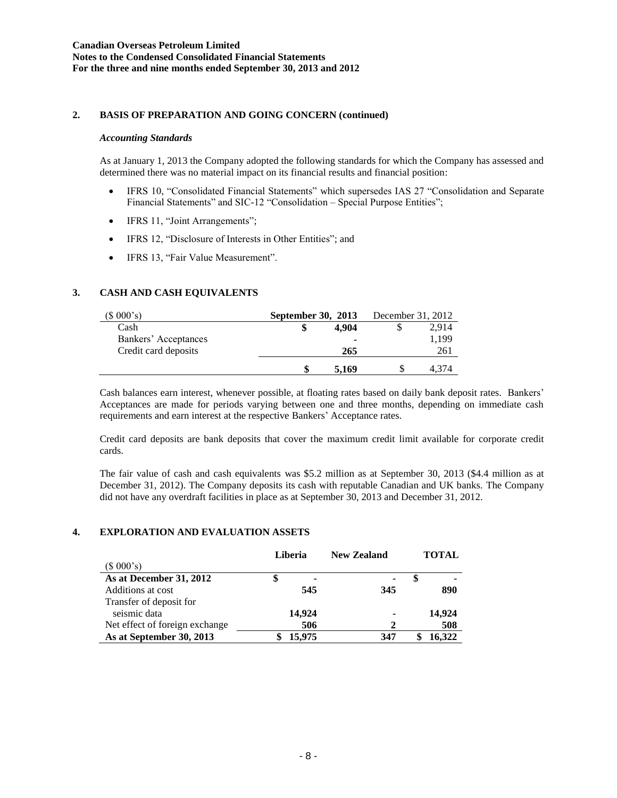### **2. BASIS OF PREPARATION AND GOING CONCERN (continued)**

### *Accounting Standards*

As at January 1, 2013 the Company adopted the following standards for which the Company has assessed and determined there was no material impact on its financial results and financial position:

- IFRS 10, "Consolidated Financial Statements" which supersedes IAS 27 "Consolidation and Separate Financial Statements" and SIC-12 "Consolidation – Special Purpose Entities";
- IFRS 11, "Joint Arrangements";
- IFRS 12, "Disclosure of Interests in Other Entities"; and
- IFRS 13, "Fair Value Measurement".

# **3. CASH AND CASH EQUIVALENTS**

| (\$000's)            | <b>September 30, 2013</b> | December 31, 2012 |  |       |
|----------------------|---------------------------|-------------------|--|-------|
| Cash                 |                           | 4.904             |  | 2.914 |
| Bankers' Acceptances |                           | -                 |  | 1,199 |
| Credit card deposits |                           | 265               |  | 261   |
|                      |                           | 5.169             |  | 4.374 |

Cash balances earn interest, whenever possible, at floating rates based on daily bank deposit rates. Bankers' Acceptances are made for periods varying between one and three months, depending on immediate cash requirements and earn interest at the respective Bankers' Acceptance rates.

Credit card deposits are bank deposits that cover the maximum credit limit available for corporate credit cards.

The fair value of cash and cash equivalents was \$5.2 million as at September 30, 2013 (\$4.4 million as at December 31, 2012). The Company deposits its cash with reputable Canadian and UK banks. The Company did not have any overdraft facilities in place as at September 30, 2013 and December 31, 2012.

### **4. EXPLORATION AND EVALUATION ASSETS**

|                                | Liberia |        | <b>New Zealand</b> | <b>TOTAL</b> |        |
|--------------------------------|---------|--------|--------------------|--------------|--------|
| (\$000's)                      |         |        |                    |              |        |
| As at December 31, 2012        |         | ۰      | ۰                  |              |        |
| Additions at cost              |         | 545    | 345                |              | 890    |
| Transfer of deposit for        |         |        |                    |              |        |
| seismic data                   |         | 14,924 | ٠                  |              | 14,924 |
| Net effect of foreign exchange |         | 506    | 2                  |              | 508    |
| As at September 30, 2013       |         | 15,975 | 347                |              | 16.322 |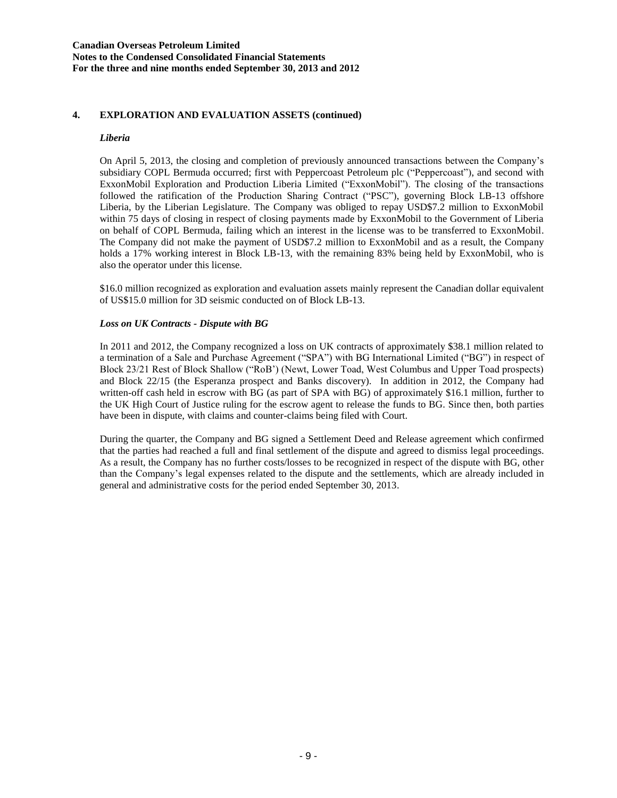## **4. EXPLORATION AND EVALUATION ASSETS (continued)**

### *Liberia*

On April 5, 2013, the closing and completion of previously announced transactions between the Company's subsidiary COPL Bermuda occurred; first with Peppercoast Petroleum plc ("Peppercoast"), and second with ExxonMobil Exploration and Production Liberia Limited ("ExxonMobil"). The closing of the transactions followed the ratification of the Production Sharing Contract ("PSC"), governing Block LB-13 offshore Liberia, by the Liberian Legislature. The Company was obliged to repay USD\$7.2 million to ExxonMobil within 75 days of closing in respect of closing payments made by ExxonMobil to the Government of Liberia on behalf of COPL Bermuda, failing which an interest in the license was to be transferred to ExxonMobil. The Company did not make the payment of USD\$7.2 million to ExxonMobil and as a result, the Company holds a 17% working interest in Block LB-13, with the remaining 83% being held by ExxonMobil, who is also the operator under this license.

\$16.0 million recognized as exploration and evaluation assets mainly represent the Canadian dollar equivalent of US\$15.0 million for 3D seismic conducted on of Block LB-13.

### *Loss on UK Contracts - Dispute with BG*

In 2011 and 2012, the Company recognized a loss on UK contracts of approximately \$38.1 million related to a termination of a Sale and Purchase Agreement ("SPA") with BG International Limited ("BG") in respect of Block 23/21 Rest of Block Shallow ("RoB') (Newt, Lower Toad, West Columbus and Upper Toad prospects) and Block 22/15 (the Esperanza prospect and Banks discovery). In addition in 2012, the Company had written-off cash held in escrow with BG (as part of SPA with BG) of approximately \$16.1 million, further to the UK High Court of Justice ruling for the escrow agent to release the funds to BG. Since then, both parties have been in dispute, with claims and counter-claims being filed with Court.

During the quarter, the Company and BG signed a Settlement Deed and Release agreement which confirmed that the parties had reached a full and final settlement of the dispute and agreed to dismiss legal proceedings. As a result, the Company has no further costs/losses to be recognized in respect of the dispute with BG, other than the Company's legal expenses related to the dispute and the settlements, which are already included in general and administrative costs for the period ended September 30, 2013.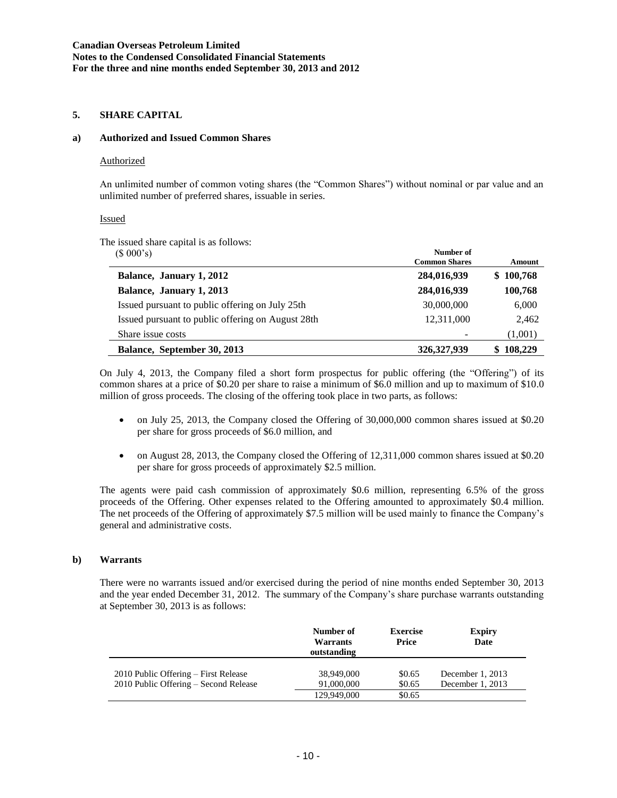### **5. SHARE CAPITAL**

### **a) Authorized and Issued Common Shares**

#### Authorized

An unlimited number of common voting shares (the "Common Shares") without nominal or par value and an unlimited number of preferred shares, issuable in series.

#### Issued

The issued share capital is as follows:

| (\$000's)                                         | Number of            |              |
|---------------------------------------------------|----------------------|--------------|
|                                                   | <b>Common Shares</b> | Amount       |
| Balance, January 1, 2012                          | 284,016,939          | \$100,768    |
| Balance, January 1, 2013                          | 284,016,939          | 100,768      |
| Issued pursuant to public offering on July 25th   | 30,000,000           | 6,000        |
| Issued pursuant to public offering on August 28th | 12,311,000           | 2,462        |
| Share issue costs                                 |                      | (1,001)      |
| Balance, September 30, 2013                       | 326, 327, 939        | 108,229<br>S |

On July 4, 2013, the Company filed a short form prospectus for public offering (the "Offering") of its common shares at a price of \$0.20 per share to raise a minimum of \$6.0 million and up to maximum of \$10.0 million of gross proceeds. The closing of the offering took place in two parts, as follows:

- on July 25, 2013, the Company closed the Offering of 30,000,000 common shares issued at \$0.20 per share for gross proceeds of \$6.0 million, and
- on August 28, 2013, the Company closed the Offering of 12,311,000 common shares issued at \$0.20 per share for gross proceeds of approximately \$2.5 million.

The agents were paid cash commission of approximately \$0.6 million, representing 6.5% of the gross proceeds of the Offering. Other expenses related to the Offering amounted to approximately \$0.4 million. The net proceeds of the Offering of approximately \$7.5 million will be used mainly to finance the Company's general and administrative costs.

#### **b) Warrants**

There were no warrants issued and/or exercised during the period of nine months ended September 30, 2013 and the year ended December 31, 2012. The summary of the Company's share purchase warrants outstanding at September 30, 2013 is as follows:

|                                                                               | Number of<br>Warrants<br>outstanding | <b>Exercise</b><br>Price | <b>Expiry</b><br>Date                  |
|-------------------------------------------------------------------------------|--------------------------------------|--------------------------|----------------------------------------|
| 2010 Public Offering - First Release<br>2010 Public Offering - Second Release | 38,949,000<br>91,000,000             | \$0.65<br>\$0.65         | December 1, $2013$<br>December 1, 2013 |
|                                                                               | 129,949,000                          | \$0.65                   |                                        |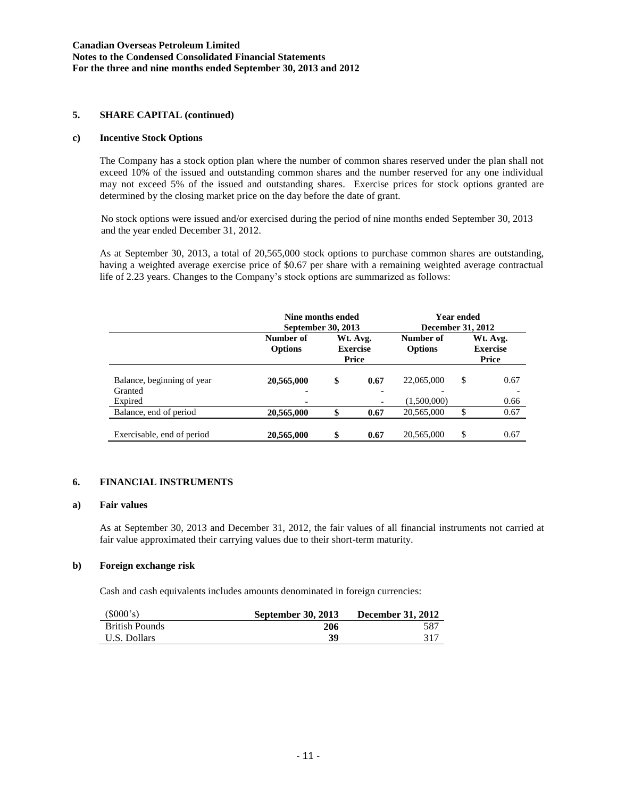### **5. SHARE CAPITAL (continued)**

### **c) Incentive Stock Options**

The Company has a stock option plan where the number of common shares reserved under the plan shall not exceed 10% of the issued and outstanding common shares and the number reserved for any one individual may not exceed 5% of the issued and outstanding shares. Exercise prices for stock options granted are determined by the closing market price on the day before the date of grant.

No stock options were issued and/or exercised during the period of nine months ended September 30, 2013 and the year ended December 31, 2012.

As at September 30, 2013, a total of 20,565,000 stock options to purchase common shares are outstanding, having a weighted average exercise price of \$0.67 per share with a remaining weighted average contractual life of 2.23 years. Changes to the Company's stock options are summarized as follows:

|                                       | Nine months ended<br>September 30, 2013 |                                      |                        | Year ended<br><b>December 31, 2012</b> |    |                                      |  |
|---------------------------------------|-----------------------------------------|--------------------------------------|------------------------|----------------------------------------|----|--------------------------------------|--|
|                                       | Number of<br><b>Options</b>             | Wt. Avg.<br><b>Exercise</b><br>Price |                        | Number of<br><b>Options</b>            |    | Wt. Avg.<br><b>Exercise</b><br>Price |  |
| Balance, beginning of year<br>Granted | 20,565,000<br>-                         | \$                                   | 0.67<br>$\blacksquare$ | 22,065,000                             | \$ | 0.67                                 |  |
| Expired                               |                                         |                                      |                        | (1,500,000)                            |    | 0.66                                 |  |
| Balance, end of period                | 20,565,000                              |                                      | 0.67                   | 20,565,000                             | \$ | 0.67                                 |  |
| Exercisable, end of period            | 20,565,000                              | \$                                   | 0.67                   | 20,565,000                             | \$ | 0.67                                 |  |

### **6. FINANCIAL INSTRUMENTS**

#### **a) Fair values**

As at September 30, 2013 and December 31, 2012, the fair values of all financial instruments not carried at fair value approximated their carrying values due to their short-term maturity.

#### **b) Foreign exchange risk**

Cash and cash equivalents includes amounts denominated in foreign currencies:

| (\$000's)             | <b>September 30, 2013</b> | <b>December 31, 2012</b> |
|-----------------------|---------------------------|--------------------------|
| <b>British Pounds</b> | 206                       | 587                      |
| U.S. Dollars          | 39                        | 317                      |